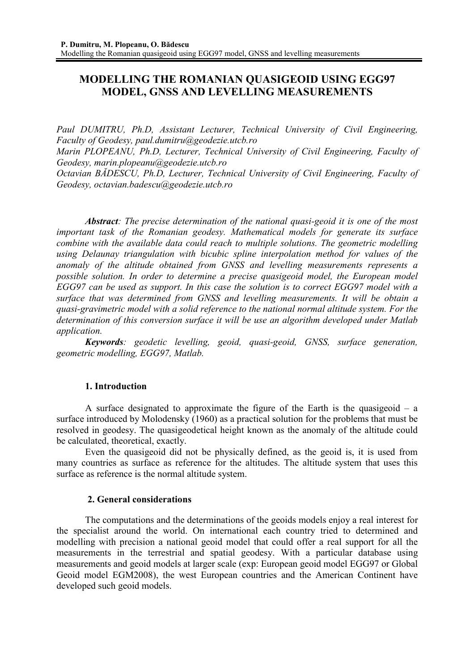## **MODELLING THE ROMANIAN QUASIGEOID USING EGG97 MODEL, GNSS AND LEVELLING MEASUREMENTS**

*Paul DUMITRU, Ph.D, Assistant Lecturer, Technical University of Civil Engineering, Faculty of Geodesy, paul.dumitru@geodezie.utcb.ro* 

*Marin PLOPEANU, Ph.D, Lecturer, Technical University of Civil Engineering, Faculty of Geodesy, marin.plopeanu@geodezie.utcb.ro* 

*Octavian BĂDESCU, Ph.D, Lecturer, Technical University of Civil Engineering, Faculty of Geodesy, octavian.badescu@geodezie.utcb.ro* 

*Abstract: The precise determination of the national quasi-geoid it is one of the most important task of the Romanian geodesy. Mathematical models for generate its surface combine with the available data could reach to multiple solutions. The geometric modelling using Delaunay triangulation with bicubic spline interpolation method for values of the anomaly of the altitude obtained from GNSS and levelling measurements represents a possible solution. In order to determine a precise quasigeoid model, the European model EGG97 can be used as support. In this case the solution is to correct EGG97 model with a surface that was determined from GNSS and levelling measurements. It will be obtain a quasi-gravimetric model with a solid reference to the national normal altitude system. For the determination of this conversion surface it will be use an algorithm developed under Matlab application.* 

*Keywords: geodetic levelling, geoid, quasi-geoid, GNSS, surface generation, geometric modelling, EGG97, Matlab.* 

## **1. Introduction**

A surface designated to approximate the figure of the Earth is the quasigeoid – a surface introduced by Molodensky (1960) as a practical solution for the problems that must be resolved in geodesy. The quasigeodetical height known as the anomaly of the altitude could be calculated, theoretical, exactly.

Even the quasigeoid did not be physically defined, as the geoid is, it is used from many countries as surface as reference for the altitudes. The altitude system that uses this surface as reference is the normal altitude system.

## **2. General considerations**

The computations and the determinations of the geoids models enjoy a real interest for the specialist around the world. On international each country tried to determined and modelling with precision a national geoid model that could offer a real support for all the measurements in the terrestrial and spatial geodesy. With a particular database using measurements and geoid models at larger scale (exp: European geoid model EGG97 or Global Geoid model EGM2008), the west European countries and the American Continent have developed such geoid models.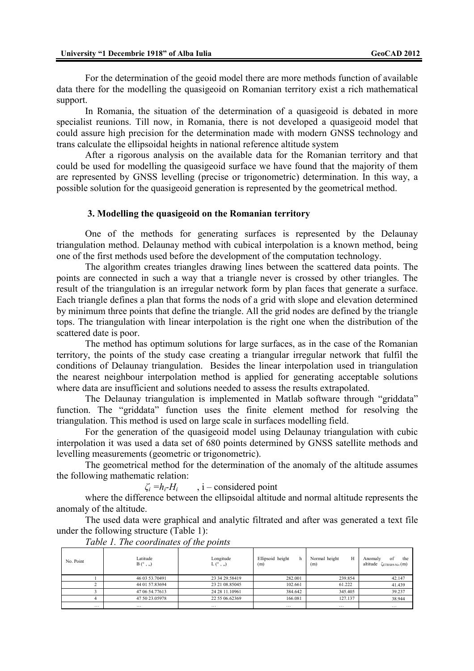For the determination of the geoid model there are more methods function of available data there for the modelling the quasigeoid on Romanian territory exist a rich mathematical support.

In Romania, the situation of the determination of a quasigeoid is debated in more specialist reunions. Till now, in Romania, there is not developed a quasigeoid model that could assure high precision for the determination made with modern GNSS technology and trans calculate the ellipsoidal heights in national reference altitude system

After a rigorous analysis on the available data for the Romanian territory and that could be used for modelling the quasigeoid surface we have found that the majority of them are represented by GNSS levelling (precise or trigonometric) determination. In this way, a possible solution for the quasigeoid generation is represented by the geometrical method.

## **3. Modelling the quasigeoid on the Romanian territory**

One of the methods for generating surfaces is represented by the Delaunay triangulation method. Delaunay method with cubical interpolation is a known method, being one of the first methods used before the development of the computation technology.

The algorithm creates triangles drawing lines between the scattered data points. The points are connected in such a way that a triangle never is crossed by other triangles. The result of the triangulation is an irregular network form by plan faces that generate a surface. Each triangle defines a plan that forms the nods of a grid with slope and elevation determined by minimum three points that define the triangle. All the grid nodes are defined by the triangle tops. The triangulation with linear interpolation is the right one when the distribution of the scattered date is poor.

The method has optimum solutions for large surfaces, as in the case of the Romanian territory, the points of the study case creating a triangular irregular network that fulfil the conditions of Delaunay triangulation. Besides the linear interpolation used in triangulation the nearest neighbour interpolation method is applied for generating acceptable solutions where data are insufficient and solutions needed to assess the results extrapolated.

The Delaunay triangulation is implemented in Matlab software through "griddata" function. The "griddata" function uses the finite element method for resolving the triangulation. This method is used on large scale in surfaces modelling field.

For the generation of the quasigeoid model using Delaunay triangulation with cubic interpolation it was used a data set of 680 points determined by GNSS satellite methods and levelling measurements (geometric or trigonometric).

The geometrical method for the determination of the anomaly of the altitude assumes the following mathematic relation:

 $\zeta_i = h_i - H_i$ , i – considered point

where the difference between the ellipsoidal altitude and normal altitude represents the anomaly of the altitude.

The used data were graphical and analytic filtrated and after was generated a text file under the following structure (Table 1):

| No. Point               | Latitude<br>$B(^{\circ}$ , ,,) | Longitude<br>$L({^{\circ}}, , )$ | Ellipsoid height<br>h<br>(m) | Н<br>Normal height<br>(m) | of<br>the<br>Anomaly<br>altitude<br>$\zeta_{ETRSS9-Niv}(m)$ |
|-------------------------|--------------------------------|----------------------------------|------------------------------|---------------------------|-------------------------------------------------------------|
|                         | 46 03 53.70491                 | 23 34 29 58419                   | 282.001                      | 239.854                   | 42.147                                                      |
|                         | 44 01 57.83694                 | 23 21 08:85045                   | 102.661                      | 61.222                    | 41.439                                                      |
|                         | 47 06 54.77613                 | 24 28 11.10961                   | 384.642                      | 345.405                   | 39.237                                                      |
|                         | 47 50 23.05978                 | 22 55 06.62369                   | 166.081                      | 127.137                   | 38.944                                                      |
| $\cdot$ $\cdot$ $\cdot$ | $\cdots$                       | $\cdots$                         | $\cdots$                     | $\cdots$                  | $\cdots$                                                    |

*Table 1. The coordinates of the points*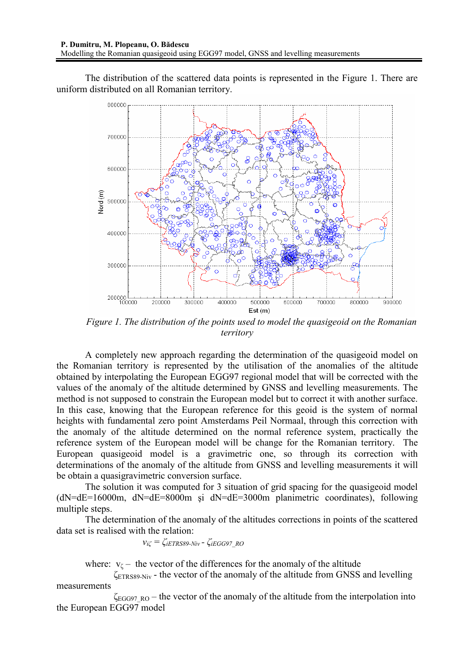The distribution of the scattered data points is represented in the Figure 1. There are uniform distributed on all Romanian territory.



*Figure 1. The distribution of the points used to model the quasigeoid on the Romanian territory* 

A completely new approach regarding the determination of the quasigeoid model on the Romanian territory is represented by the utilisation of the anomalies of the altitude obtained by interpolating the European EGG97 regional model that will be corrected with the values of the anomaly of the altitude determined by GNSS and levelling measurements. The method is not supposed to constrain the European model but to correct it with another surface. In this case, knowing that the European reference for this geoid is the system of normal heights with fundamental zero point Amsterdams Peil Normaal, through this correction with the anomaly of the altitude determined on the normal reference system, practically the reference system of the European model will be change for the Romanian territory. The European quasigeoid model is a gravimetric one, so through its correction with determinations of the anomaly of the altitude from GNSS and levelling measurements it will be obtain a quasigravimetric conversion surface.

The solution it was computed for 3 situation of grid spacing for the quasigeoid model  $(dN=dE=16000m, dN=dE=8000m, si dN=dE=3000m planimetric coordinates)$ , following multiple steps.

The determination of the anomaly of the altitudes corrections in points of the scattered data set is realised with the relation:

$$
v_{i\zeta} = \zeta_{iETRS89-Niv} - \zeta_{iEGG97\ RO}
$$

where:  $v_{\zeta}$  – the vector of the differences for the anomaly of the altitude

 $\zeta_{\text{ETRSS9-Niv}}$  - the vector of the anomaly of the altitude from GNSS and levelling measurements

 $\zeta_{EGG97\ RO}$  – the vector of the anomaly of the altitude from the interpolation into the European EGG97 model